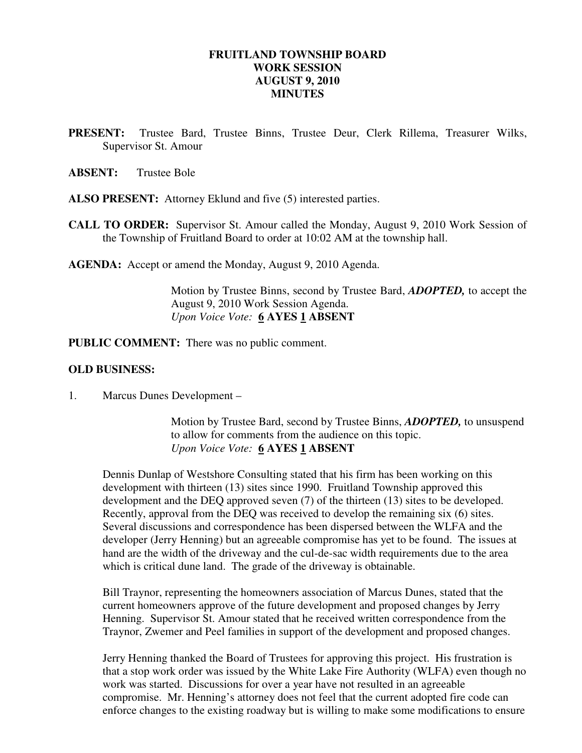### **FRUITLAND TOWNSHIP BOARD WORK SESSION AUGUST 9, 2010 MINUTES**

**PRESENT:** Trustee Bard, Trustee Binns, Trustee Deur, Clerk Rillema, Treasurer Wilks, Supervisor St. Amour

**ABSENT:** Trustee Bole

- **ALSO PRESENT:** Attorney Eklund and five (5) interested parties.
- **CALL TO ORDER:** Supervisor St. Amour called the Monday, August 9, 2010 Work Session of the Township of Fruitland Board to order at 10:02 AM at the township hall.

**AGENDA:** Accept or amend the Monday, August 9, 2010 Agenda.

Motion by Trustee Binns, second by Trustee Bard, *ADOPTED,* to accept the August 9, 2010 Work Session Agenda.  *Upon Voice Vote:* **6 AYES 1 ABSENT** 

**PUBLIC COMMENT:** There was no public comment.

#### **OLD BUSINESS:**

1. Marcus Dunes Development –

 Motion by Trustee Bard, second by Trustee Binns, *ADOPTED,* to unsuspend to allow for comments from the audience on this topic. *Upon Voice Vote:* **6 AYES 1 ABSENT** 

 Dennis Dunlap of Westshore Consulting stated that his firm has been working on this development with thirteen (13) sites since 1990. Fruitland Township approved this development and the DEQ approved seven (7) of the thirteen (13) sites to be developed. Recently, approval from the DEQ was received to develop the remaining six (6) sites. Several discussions and correspondence has been dispersed between the WLFA and the developer (Jerry Henning) but an agreeable compromise has yet to be found. The issues at hand are the width of the driveway and the cul-de-sac width requirements due to the area which is critical dune land. The grade of the driveway is obtainable.

 Bill Traynor, representing the homeowners association of Marcus Dunes, stated that the current homeowners approve of the future development and proposed changes by Jerry Henning. Supervisor St. Amour stated that he received written correspondence from the Traynor, Zwemer and Peel families in support of the development and proposed changes.

 Jerry Henning thanked the Board of Trustees for approving this project. His frustration is that a stop work order was issued by the White Lake Fire Authority (WLFA) even though no work was started. Discussions for over a year have not resulted in an agreeable compromise. Mr. Henning's attorney does not feel that the current adopted fire code can enforce changes to the existing roadway but is willing to make some modifications to ensure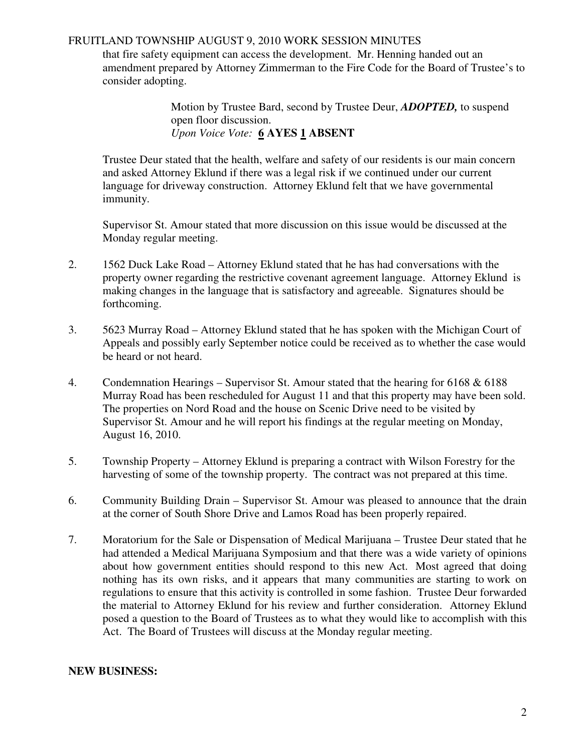### FRUITLAND TOWNSHIP AUGUST 9, 2010 WORK SESSION MINUTES

 that fire safety equipment can access the development. Mr. Henning handed out an amendment prepared by Attorney Zimmerman to the Fire Code for the Board of Trustee's to consider adopting.

> Motion by Trustee Bard, second by Trustee Deur, *ADOPTED,* to suspend open floor discussion. *Upon Voice Vote:* **6 AYES 1 ABSENT**

 Trustee Deur stated that the health, welfare and safety of our residents is our main concern and asked Attorney Eklund if there was a legal risk if we continued under our current language for driveway construction. Attorney Eklund felt that we have governmental immunity.

Supervisor St. Amour stated that more discussion on this issue would be discussed at the Monday regular meeting.

- 2. 1562 Duck Lake Road Attorney Eklund stated that he has had conversations with the property owner regarding the restrictive covenant agreement language. Attorney Eklund is making changes in the language that is satisfactory and agreeable. Signatures should be forthcoming.
- 3. 5623 Murray Road Attorney Eklund stated that he has spoken with the Michigan Court of Appeals and possibly early September notice could be received as to whether the case would be heard or not heard.
- 4. Condemnation Hearings Supervisor St. Amour stated that the hearing for 6168 & 6188 Murray Road has been rescheduled for August 11 and that this property may have been sold. The properties on Nord Road and the house on Scenic Drive need to be visited by Supervisor St. Amour and he will report his findings at the regular meeting on Monday, August 16, 2010.
- 5. Township Property Attorney Eklund is preparing a contract with Wilson Forestry for the harvesting of some of the township property. The contract was not prepared at this time.
- 6. Community Building Drain Supervisor St. Amour was pleased to announce that the drain at the corner of South Shore Drive and Lamos Road has been properly repaired.
- 7. Moratorium for the Sale or Dispensation of Medical Marijuana Trustee Deur stated that he had attended a Medical Marijuana Symposium and that there was a wide variety of opinions about how government entities should respond to this new Act. Most agreed that doing nothing has its own risks, and it appears that many communities are starting to work on regulations to ensure that this activity is controlled in some fashion. Trustee Deur forwarded the material to Attorney Eklund for his review and further consideration. Attorney Eklund posed a question to the Board of Trustees as to what they would like to accomplish with this Act. The Board of Trustees will discuss at the Monday regular meeting.

### **NEW BUSINESS:**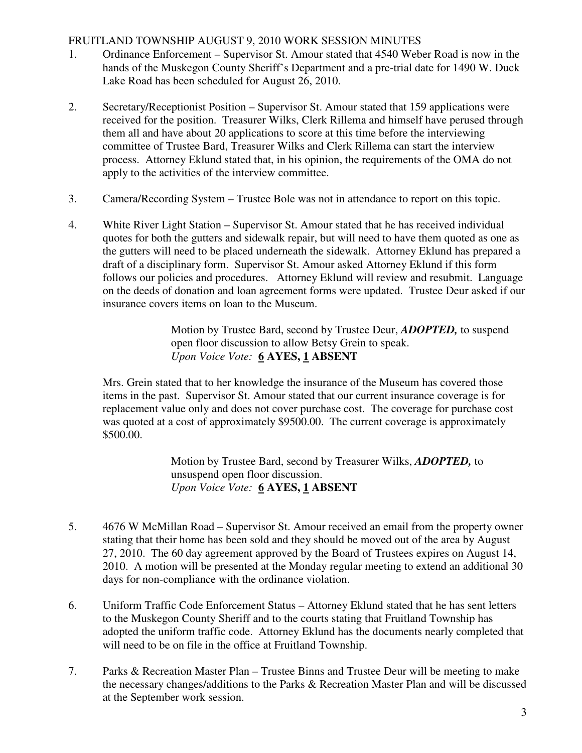## FRUITLAND TOWNSHIP AUGUST 9, 2010 WORK SESSION MINUTES

- 1. Ordinance Enforcement Supervisor St. Amour stated that 4540 Weber Road is now in the hands of the Muskegon County Sheriff's Department and a pre-trial date for 1490 W. Duck Lake Road has been scheduled for August 26, 2010.
- 2. Secretary/Receptionist Position Supervisor St. Amour stated that 159 applications were received for the position. Treasurer Wilks, Clerk Rillema and himself have perused through them all and have about 20 applications to score at this time before the interviewing committee of Trustee Bard, Treasurer Wilks and Clerk Rillema can start the interview process. Attorney Eklund stated that, in his opinion, the requirements of the OMA do not apply to the activities of the interview committee.
- 3. Camera/Recording System Trustee Bole was not in attendance to report on this topic.
- 4. White River Light Station Supervisor St. Amour stated that he has received individual quotes for both the gutters and sidewalk repair, but will need to have them quoted as one as the gutters will need to be placed underneath the sidewalk. Attorney Eklund has prepared a draft of a disciplinary form. Supervisor St. Amour asked Attorney Eklund if this form follows our policies and procedures. Attorney Eklund will review and resubmit. Language on the deeds of donation and loan agreement forms were updated. Trustee Deur asked if our insurance covers items on loan to the Museum.

 Motion by Trustee Bard, second by Trustee Deur, *ADOPTED,* to suspend open floor discussion to allow Betsy Grein to speak. *Upon Voice Vote:* **6 AYES, 1 ABSENT** 

Mrs. Grein stated that to her knowledge the insurance of the Museum has covered those items in the past. Supervisor St. Amour stated that our current insurance coverage is for replacement value only and does not cover purchase cost. The coverage for purchase cost was quoted at a cost of approximately \$9500.00. The current coverage is approximately \$500.00.

> Motion by Trustee Bard, second by Treasurer Wilks, *ADOPTED,* to unsuspend open floor discussion. *Upon Voice Vote:* **6 AYES, 1 ABSENT**

- 5. 4676 W McMillan Road Supervisor St. Amour received an email from the property owner stating that their home has been sold and they should be moved out of the area by August 27, 2010. The 60 day agreement approved by the Board of Trustees expires on August 14, 2010. A motion will be presented at the Monday regular meeting to extend an additional 30 days for non-compliance with the ordinance violation.
- 6. Uniform Traffic Code Enforcement Status Attorney Eklund stated that he has sent letters to the Muskegon County Sheriff and to the courts stating that Fruitland Township has adopted the uniform traffic code. Attorney Eklund has the documents nearly completed that will need to be on file in the office at Fruitland Township.
- 7. Parks & Recreation Master Plan Trustee Binns and Trustee Deur will be meeting to make the necessary changes/additions to the Parks & Recreation Master Plan and will be discussed at the September work session.